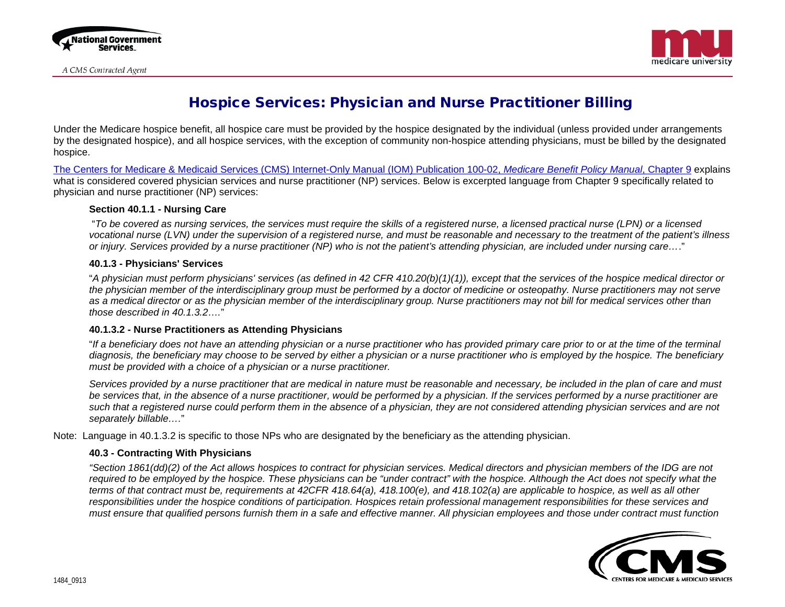



# Hospice Services: Physician and Nurse Practitioner Billing

Under the Medicare hospice benefit, all hospice care must be provided by the hospice designated by the individual (unless provided under arrangements by the designated hospice), and all hospice services, with the exception of community non-hospice attending physicians, must be billed by the designated hospice.

[The Centers for Medicare & Medicaid Services \(CMS\) Internet-Only Manual \(IOM\) Publication 100-02,](https://www.cms.gov/Regulations-and-Guidance/Guidance/Manuals/Downloads/bp102c09.pdf) *Medicare Benefit Policy Manual*, Chapter 9 explains what is considered covered physician services and nurse practitioner (NP) services. Below is excerpted language from Chapter 9 specifically related to physician and nurse practitioner (NP) services:

### **Section 40.1.1 - Nursing Care**

 "*To be covered as nursing services, the services must require the skills of a registered nurse, a licensed practical nurse (LPN) or a licensed vocational nurse (LVN) under the supervision of a registered nurse, and must be reasonable and necessary to the treatment of the patient's illness or injury. Services provided by a nurse practitioner (NP) who is not the patient's attending physician, are included under nursing care…*."

### **40.1.3 - Physicians' Services**

"*A physician must perform physicians' services (as defined in 42 CFR 410.20(b)(1)(1)), except that the services of the hospice medical director or the physician member of the interdisciplinary group must be performed by a doctor of medicine or osteopathy. Nurse practitioners may not serve as a medical director or as the physician member of the interdisciplinary group. Nurse practitioners may not bill for medical services other than those described in 40.1.3.2….*"

## **40.1.3.2 - Nurse Practitioners as Attending Physicians**

"*If a beneficiary does not have an attending physician or a nurse practitioner who has provided primary care prior to or at the time of the terminal diagnosis, the beneficiary may choose to be served by either a physician or a nurse practitioner who is employed by the hospice. The beneficiary must be provided with a choice of a physician or a nurse practitioner.* 

*Services provided by a nurse practitioner that are medical in nature must be reasonable and necessary, be included in the plan of care and must be services that, in the absence of a nurse practitioner, would be performed by a physician. If the services performed by a nurse practitioner are such that a registered nurse could perform them in the absence of a physician, they are not considered attending physician services and are not separately billable….*"

Note: Language in 40.1.3.2 is specific to those NPs who are designated by the beneficiary as the attending physician.

## **40.3 - Contracting With Physicians**

*"Section 1861(dd)(2) of the Act allows hospices to contract for physician services. Medical directors and physician members of the IDG are not required to be employed by the hospice. These physicians can be "under contract" with the hospice. Although the Act does not specify what the terms of that contract must be, requirements at 42CFR 418.64(a), 418.100(e), and 418.102(a) are applicable to hospice, as well as all other responsibilities under the hospice conditions of participation. Hospices retain professional management responsibilities for these services and must ensure that qualified persons furnish them in a safe and effective manner. All physician employees and those under contract must function*

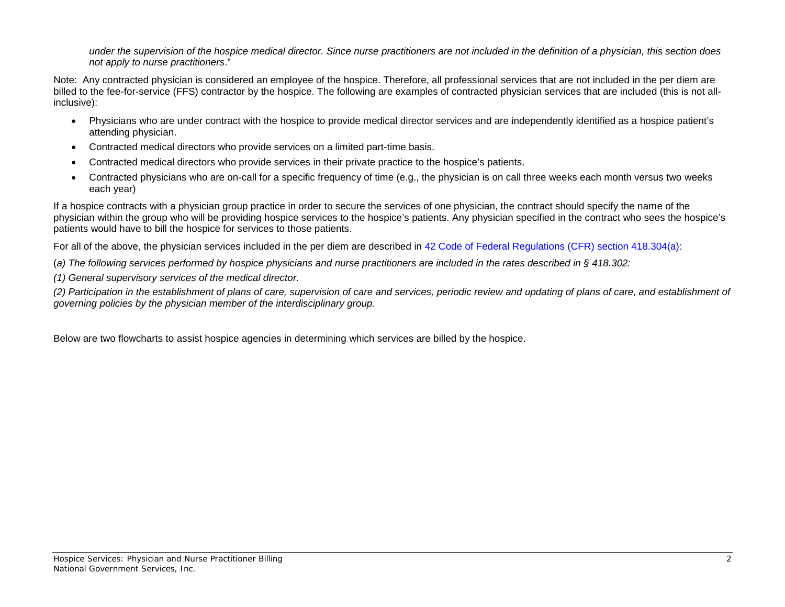*under the supervision of the hospice medical director. Since nurse practitioners are not included in the definition of a physician, this section does not apply to nurse practitioners*."

Note: Any contracted physician is considered an employee of the hospice. Therefore, all professional services that are not included in the per diem are billed to the fee-for-service (FFS) contractor by the hospice. The following are examples of contracted physician services that are included (this is not allinclusive):

- Physicians who are under contract with the hospice to provide medical director services and are independently identified as a hospice patient's attending physician.
- Contracted medical directors who provide services on a limited part-time basis.
- Contracted medical directors who provide services in their private practice to the hospice's patients.
- Contracted physicians who are on-call for a specific frequency of time (e.g., the physician is on call three weeks each month versus two weeks each year)

If a hospice contracts with a physician group practice in order to secure the services of one physician, the contract should specify the name of the physician within the group who will be providing hospice services to the hospice's patients. Any physician specified in the contract who sees the hospice's patients would have to bill the hospice for services to those patients.

For all of the above, the physician services included in the per diem are described in [42 Code of Federal Regulations \(CFR\) section 418.304\(a\):](http://www.gpo.gov/fdsys/pkg/CFR-2011-title42-vol3/pdf/CFR-2011-title42-vol3-part418.pdf)

(*a) The following services performed by hospice physicians and nurse practitioners are included in the rates described in § 418.302:*

*(1) General supervisory services of the medical director.*

*(2) Participation in the establishment of plans of care, supervision of care and services, periodic review and updating of plans of care, and establishment of governing policies by the physician member of the interdisciplinary group.*

Below are two flowcharts to assist hospice agencies in determining which services are billed by the hospice.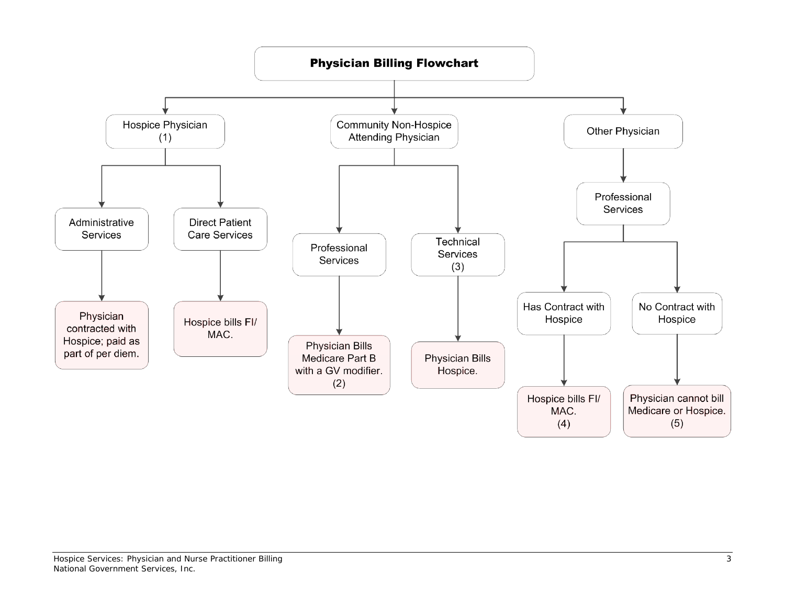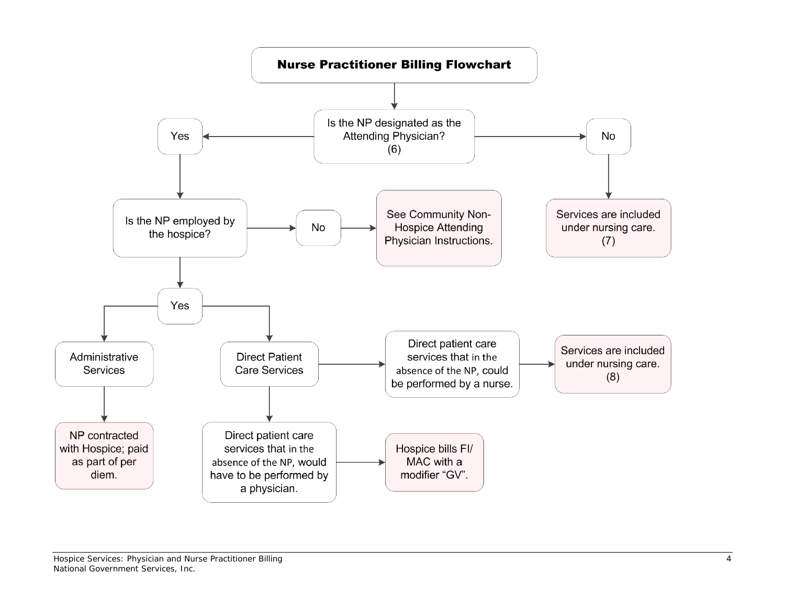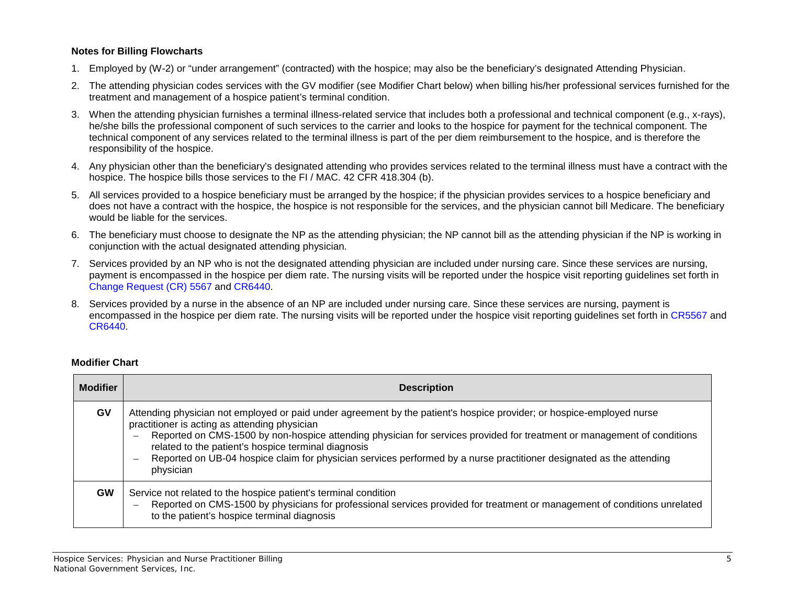# **Notes for Billing Flowcharts**

- 1. Employed by (W-2) or "under arrangement" (contracted) with the hospice; may also be the beneficiary's designated Attending Physician.
- 2. The attending physician codes services with the GV modifier (see Modifier Chart below) when billing his/her professional services furnished for the treatment and management of a hospice patient's terminal condition.
- 3. When the attending physician furnishes a terminal illness-related service that includes both a professional and technical component (e.g., x-rays), he/she bills the professional component of such services to the carrier and looks to the hospice for payment for the technical component. The technical component of any services related to the terminal illness is part of the per diem reimbursement to the hospice, and is therefore the responsibility of the hospice.
- 4. Any physician other than the beneficiary's designated attending who provides services related to the terminal illness must have a contract with the hospice. The hospice bills those services to the FI / MAC. 42 CFR 418.304 (b).
- 5. All services provided to a hospice beneficiary must be arranged by the hospice; if the physician provides services to a hospice beneficiary and does not have a contract with the hospice, the hospice is not responsible for the services, and the physician cannot bill Medicare. The beneficiary would be liable for the services.
- 6. The beneficiary must choose to designate the NP as the attending physician; the NP cannot bill as the attending physician if the NP is working in conjunction with the actual designated attending physician.
- 7. Services provided by an NP who is not the designated attending physician are included under nursing care. Since these services are nursing, payment is encompassed in the hospice per diem rate. The nursing visits will be reported under the hospice visit reporting guidelines set forth in [Change Request \(CR\) 5567](http://www.cms.gov/Regulations-and-Guidance/Guidance/Transmittals/Downloads/R1494CP.pdf) and [CR6440.](http://www.cms.gov/Regulations-and-Guidance/Guidance/Transmittals/downloads/r1738cp.pdf)
- 8. Services provided by a nurse in the absence of an NP are included under nursing care. Since these services are nursing, payment is encompassed in the hospice per diem rate. The nursing visits will be reported under the hospice visit reporting guidelines set forth in [CR5567](http://www.cms.gov/Regulations-and-Guidance/Guidance/Transmittals/Downloads/R1494CP.pdf) and [CR6440.](http://www.cms.gov/Regulations-and-Guidance/Guidance/Transmittals/downloads/r1738cp.pdf)

# **Modifier Chart**

| <b>Modifier</b> | <b>Description</b>                                                                                                                                                                                                                                                                                                                                                                                                                                                                                                        |
|-----------------|---------------------------------------------------------------------------------------------------------------------------------------------------------------------------------------------------------------------------------------------------------------------------------------------------------------------------------------------------------------------------------------------------------------------------------------------------------------------------------------------------------------------------|
| GV              | Attending physician not employed or paid under agreement by the patient's hospice provider; or hospice-employed nurse<br>practitioner is acting as attending physician<br>Reported on CMS-1500 by non-hospice attending physician for services provided for treatment or management of conditions<br>related to the patient's hospice terminal diagnosis<br>Reported on UB-04 hospice claim for physician services performed by a nurse practitioner designated as the attending<br>$\overline{\phantom{a}}$<br>physician |
| <b>GW</b>       | Service not related to the hospice patient's terminal condition<br>Reported on CMS-1500 by physicians for professional services provided for treatment or management of conditions unrelated<br>$\overline{\phantom{0}}$<br>to the patient's hospice terminal diagnosis                                                                                                                                                                                                                                                   |